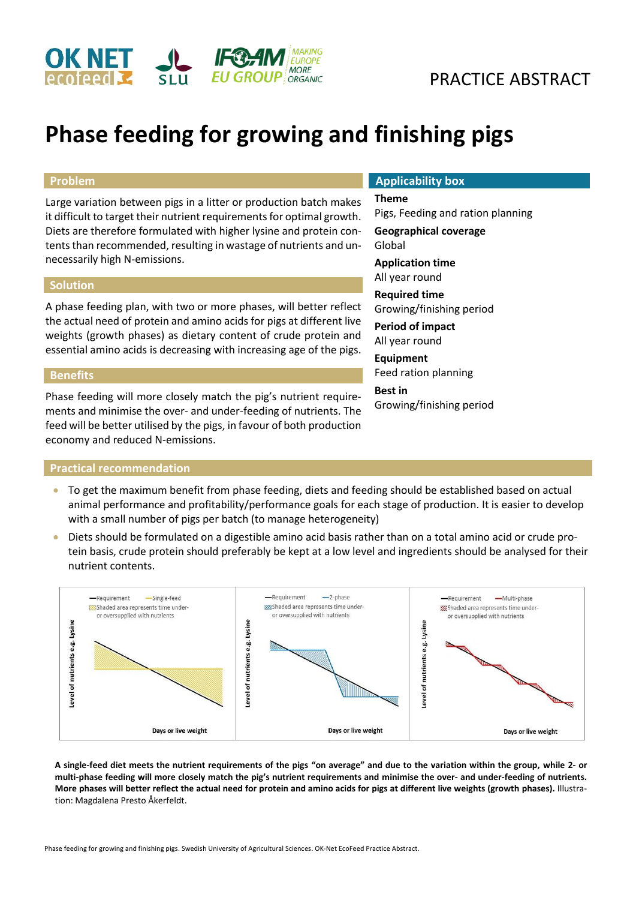

# **Phase feeding for growing and finishing pigs**

# **Problem**

Large variation between pigs in a litter or production batch makes it difficult to target their nutrient requirements for optimal growth. Diets are therefore formulated with higher lysine and protein contents than recommended, resulting in wastage of nutrients and unnecessarily high N-emissions.

### **Solution**

A phase feeding plan, with two or more phases, will better reflect the actual need of protein and amino acids for pigs at different live weights (growth phases) as dietary content of crude protein and essential amino acids is decreasing with increasing age of the pigs.

### **Benefits**

Phase feeding will more closely match the pig's nutrient requirements and minimise the over- and under-feeding of nutrients. The feed will be better utilised by the pigs, in favour of both production economy and reduced N-emissions.

### **Practical recommendation**

# **Applicability box**

### **Theme**

Pigs, Feeding and ration planning **Geographical coverage** Global **Application time**

All year round

**Required time** Growing/finishing period

**Period of impact** All year round

**Equipment** Feed ration planning **Best in** Growing/finishing period

- To get the maximum benefit from phase feeding, diets and feeding should be established based on actual animal performance and profitability/performance goals for each stage of production. It is easier to develop with a small number of pigs per batch (to manage heterogeneity)
- Diets should be formulated on a digestible amino acid basis rather than on a total amino acid or crude protein basis, crude protein should preferably be kept at a low level and ingredients should be analysed for their nutrient contents.



**A single-feed diet meets the nutrient requirements of the pigs "on average" and due to the variation within the group, while 2- or multi-phase feeding will more closely match the pig's nutrient requirements and minimise the over- and under-feeding of nutrients. More phases will better reflect the actual need for protein and amino acids for pigs at different live weights (growth phases).** Illustration: Magdalena Presto Åkerfeldt.